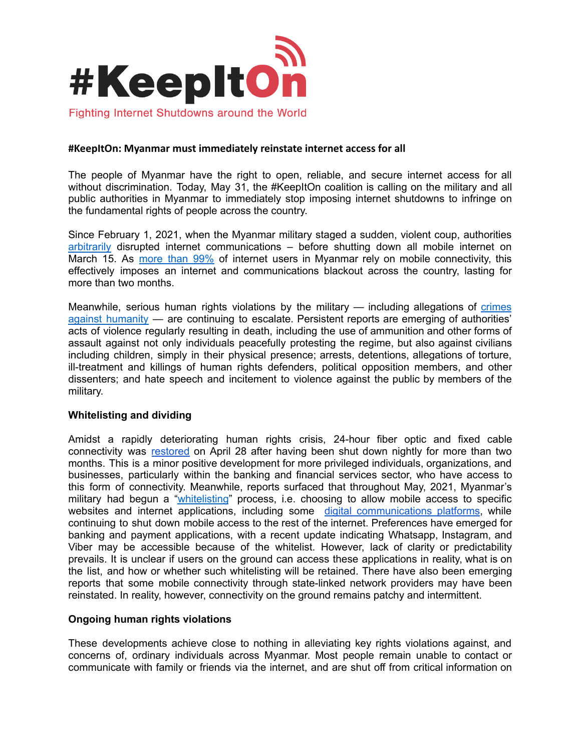

## **#KeepItOn: Myanmar must immediately reinstate internet access for all**

The people of Myanmar have the right to open, reliable, and secure internet access for all without discrimination. Today, May 31, the #KeepItOn coalition is calling on the military and all public authorities in Myanmar to immediately stop imposing internet shutdowns to infringe on the fundamental rights of people across the country.

Since February 1, 2021, when the Myanmar military staged a sudden, violent coup, authorities [arbitrarily](https://www.accessnow.org/update-internet-access-censorship-myanmar/) disrupted internet communications – before shutting down all mobile internet on March 15. As [more](https://www.myanmar-responsiblebusiness.org/news/return-full-mobile-internet.html) than 99% of internet users in Myanmar rely on mobile connectivity, this effectively imposes an internet and communications blackout across the country, lasting for more than two months.

Meanwhile, serious human rights violations by the military — including allegations of [crimes](https://news.un.org/en/story/2021/03/1087062) against [humanity](https://news.un.org/en/story/2021/03/1087062) — are continuing to escalate. Persistent reports are emerging of authorities' acts of violence regularly resulting in death, including the use of ammunition and other forms of assault against not only individuals peacefully protesting the regime, but also against civilians including children, simply in their physical presence; arrests, detentions, allegations of torture, ill-treatment and killings of human rights defenders, political opposition members, and other dissenters; and hate speech and incitement to violence against the public by members of the military.

### **Whitelisting and dividing**

Amidst a rapidly deteriorating human rights crisis, 24-hour fiber optic and fixed cable connectivity was [restored](https://coconuts.co/yangon/news/myanmars-junta-has-lifted-the-overnight-internet-ban-and-no-ones-really-sure-why/) on April 28 after having been shut down nightly for more than two months. This is a minor positive development for more privileged individuals, organizations, and businesses, particularly within the banking and financial services sector, who have access to this form of connectivity. Meanwhile, reports surfaced that throughout May, 2021, Myanmar's military had begun a ["whitelisting](https://asia.nikkei.com/Spotlight/Myanmar-Coup/Myanmar-junta-builds-walled-garden-of-internet-services)" process, i.e. choosing to allow mobile access to specific websites and internet applications, including some digital [communications](https://twitter.com/FreeExpressMm/status/1396881429586354178?s=20) platforms, while continuing to shut down mobile access to the rest of the internet. Preferences have emerged for banking and payment applications, with a recent update indicating Whatsapp, Instagram, and Viber may be accessible because of the whitelist. However, lack of clarity or predictability prevails. It is unclear if users on the ground can access these applications in reality, what is on the list, and how or whether such whitelisting will be retained. There have also been emerging reports that some mobile connectivity through state-linked network providers may have been reinstated. In reality, however, connectivity on the ground remains patchy and intermittent.

### **Ongoing human rights violations**

These developments achieve close to nothing in alleviating key rights violations against, and concerns of, ordinary individuals across Myanmar. Most people remain unable to contact or communicate with family or friends via the internet, and are shut off from critical information on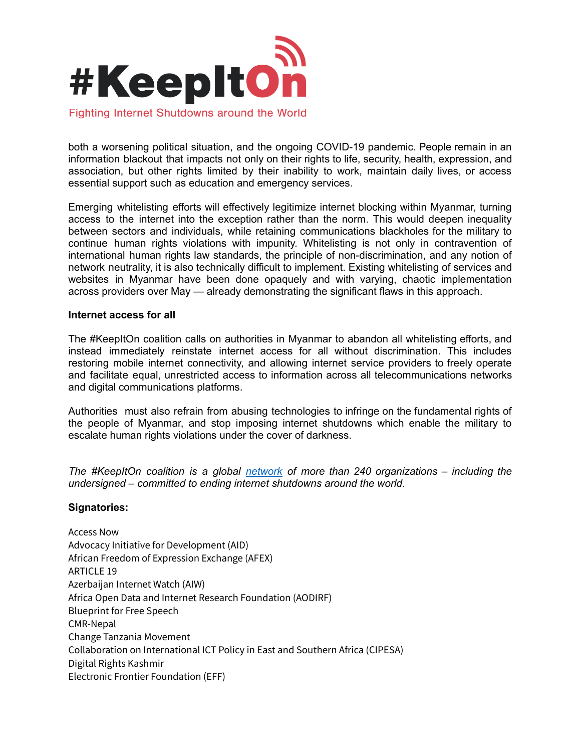

both a worsening political situation, and the ongoing COVID-19 pandemic. People remain in an information blackout that impacts not only on their rights to life, security, health, expression, and association, but other rights limited by their inability to work, maintain daily lives, or access essential support such as education and emergency services.

Emerging whitelisting efforts will effectively legitimize internet blocking within Myanmar, turning access to the internet into the exception rather than the norm. This would deepen inequality between sectors and individuals, while retaining communications blackholes for the military to continue human rights violations with impunity. Whitelisting is not only in contravention of international human rights law standards, the principle of non-discrimination, and any notion of network neutrality, it is also technically difficult to implement. Existing whitelisting of services and websites in Myanmar have been done opaquely and with varying, chaotic implementation across providers over May — already demonstrating the significant flaws in this approach.

### **Internet access for all**

The #KeepItOn coalition calls on authorities in Myanmar to abandon all whitelisting efforts, and instead immediately reinstate internet access for all without discrimination. This includes restoring mobile internet connectivity, and allowing internet service providers to freely operate and facilitate equal, unrestricted access to information across all telecommunications networks and digital communications platforms.

Authorities must also refrain from abusing technologies to infringe on the fundamental rights of the people of Myanmar, and stop imposing internet shutdowns which enable the military to escalate human rights violations under the cover of darkness.

*The #KeepItOn coalition is a global [network](https://www.accessnow.org/keepiton-faq/#The-coalition-campaign) of more than 240 organizations – including the undersigned – committed to ending internet shutdowns around the world.*

# **Signatories:**

Access Now Advocacy Initiative for Development (AID) African Freedom of Expression Exchange (AFEX) ARTICLE 19 Azerbaijan Internet Watch (AIW) Africa Open Data and Internet Research Foundation (AODIRF) Blueprint for Free Speech CMR-Nepal Change Tanzania Movement Collaboration on International ICT Policy in East and Southern Africa (CIPESA) Digital Rights Kashmir Electronic Frontier Foundation (EFF)